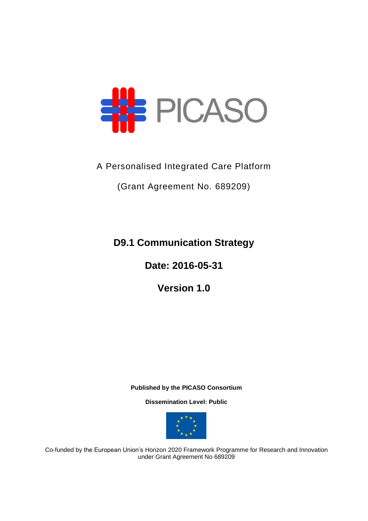

# A Personalised Integrated Care Platform

(Grant Agreement No. 689209)

**D9.1 Communication Strategy**

**Date: 2016-05-31**

**Version 1.0**

**Published by the PICASO Consortium** 

**Dissemination Level: Public**



Co-funded by the European Union's Horizon 2020 Framework Programme for Research and Innovation under Grant Agreement No 689209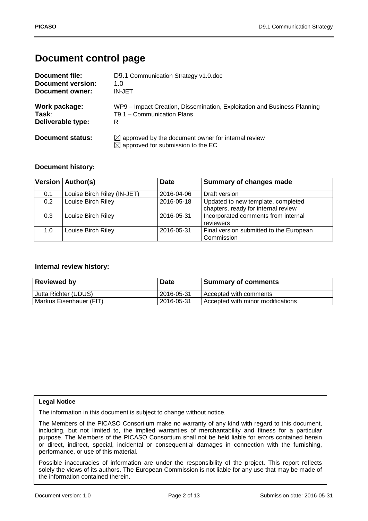# **Document control page**

| <b>Document file:</b>    | D9.1 Communication Strategy v1.0.doc                                                                            |
|--------------------------|-----------------------------------------------------------------------------------------------------------------|
| <b>Document version:</b> | 1.0                                                                                                             |
| Document owner:          | IN-JET                                                                                                          |
| Work package:            | WP9 - Impact Creation, Dissemination, Exploitation and Business Planning                                        |
| Task:                    | T9.1 - Communication Plans                                                                                      |
| Deliverable type:        | R                                                                                                               |
| <b>Document status:</b>  | $\boxtimes$ approved by the document owner for internal review<br>$\boxtimes$ approved for submission to the EC |

#### **Document history:**

|     | Version   Author(s)         | <b>Date</b> | Summary of changes made                                                   |
|-----|-----------------------------|-------------|---------------------------------------------------------------------------|
| 0.1 | Louise Birch Riley (IN-JET) | 2016-04-06  | Draft version                                                             |
| 0.2 | Louise Birch Riley          | 2016-05-18  | Updated to new template, completed<br>chapters, ready for internal review |
| 0.3 | Louise Birch Riley          | 2016-05-31  | Incorporated comments from internal<br>reviewers                          |
| 1.0 | Louise Birch Riley          | 2016-05-31  | Final version submitted to the European<br>Commission                     |

#### **Internal review history:**

| <b>Reviewed by</b>      | <b>Date</b> | <b>Summary of comments</b>        |
|-------------------------|-------------|-----------------------------------|
| Jutta Richter (UDUS)    | 2016-05-31  | Accepted with comments            |
| Markus Eisenhauer (FIT) | 2016-05-31  | Accepted with minor modifications |

#### **Legal Notice**

The information in this document is subject to change without notice.

The Members of the PICASO Consortium make no warranty of any kind with regard to this document, including, but not limited to, the implied warranties of merchantability and fitness for a particular purpose. The Members of the PICASO Consortium shall not be held liable for errors contained herein or direct, indirect, special, incidental or consequential damages in connection with the furnishing, performance, or use of this material.

Possible inaccuracies of information are under the responsibility of the project. This report reflects solely the views of its authors. The European Commission is not liable for any use that may be made of the information contained therein.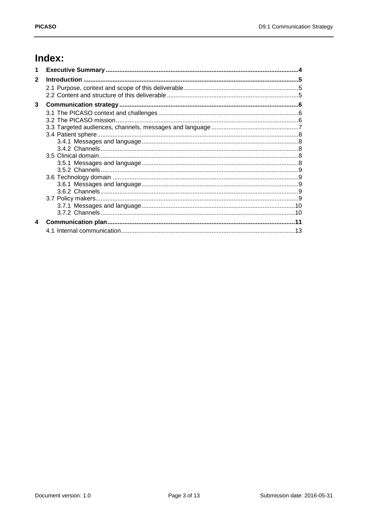# Index:

| 1            |  |
|--------------|--|
| $\mathbf{2}$ |  |
|              |  |
| 3            |  |
|              |  |
|              |  |
|              |  |
|              |  |
|              |  |
|              |  |
|              |  |
|              |  |
|              |  |
| 4            |  |
|              |  |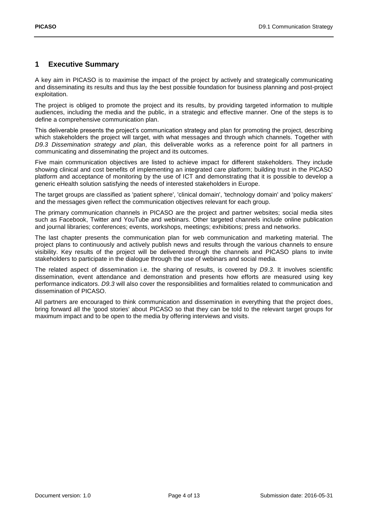## <span id="page-3-0"></span>**1 Executive Summary**

A key aim in PICASO is to maximise the impact of the project by actively and strategically communicating and disseminating its results and thus lay the best possible foundation for business planning and post-project exploitation.

The project is obliged to promote the project and its results, by providing targeted information to multiple audiences, including the media and the public, in a strategic and effective manner. One of the steps is to define a comprehensive communication plan.

This deliverable presents the project's communication strategy and plan for promoting the project, describing which stakeholders the project will target, with what messages and through which channels. Together with *D9.3 Dissemination strategy and plan*, this deliverable works as a reference point for all partners in communicating and disseminating the project and its outcomes.

Five main communication objectives are listed to achieve impact for different stakeholders. They include showing clinical and cost benefits of implementing an integrated care platform; building trust in the PICASO platform and acceptance of monitoring by the use of ICT and demonstrating that it is possible to develop a generic eHealth solution satisfying the needs of interested stakeholders in Europe.

The target groups are classified as 'patient sphere', 'clinical domain', 'technology domain' and 'policy makers' and the messages given reflect the communication objectives relevant for each group.

The primary communication channels in PICASO are the project and partner websites; social media sites such as Facebook, Twitter and YouTube and webinars. Other targeted channels include online publication and journal libraries; conferences; events, workshops, meetings; exhibitions; press and networks.

The last chapter presents the communication plan for web communication and marketing material. The project plans to continuously and actively publish news and results through the various channels to ensure visibility. Key results of the project will be delivered through the channels and PICASO plans to invite stakeholders to participate in the dialogue through the use of webinars and social media.

The related aspect of dissemination i.e. the sharing of results, is covered by *D9.3*. It involves scientific dissemination, event attendance and demonstration and presents how efforts are measured using key performance indicators. *D9.3* will also cover the responsibilities and formalities related to communication and dissemination of PICASO.

All partners are encouraged to think communication and dissemination in everything that the project does, bring forward all the 'good stories' about PICASO so that they can be told to the relevant target groups for maximum impact and to be open to the media by offering interviews and visits.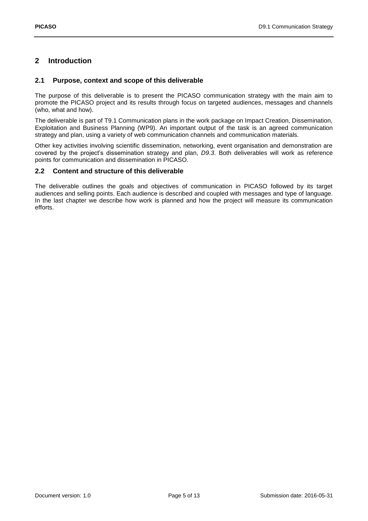# <span id="page-4-0"></span>**2 Introduction**

#### <span id="page-4-1"></span>**2.1 Purpose, context and scope of this deliverable**

The purpose of this deliverable is to present the PICASO communication strategy with the main aim to promote the PICASO project and its results through focus on targeted audiences, messages and channels (who, what and how).

The deliverable is part of T9.1 Communication plans in the work package on Impact Creation, Dissemination, Exploitation and Business Planning (WP9). An important output of the task is an agreed communication strategy and plan, using a variety of web communication channels and communication materials.

Other key activities involving scientific dissemination, networking, event organisation and demonstration are covered by the project's dissemination strategy and plan, *D9.3*. Both deliverables will work as reference points for communication and dissemination in PICASO.

#### <span id="page-4-2"></span>**2.2 Content and structure of this deliverable**

The deliverable outlines the goals and objectives of communication in PICASO followed by its target audiences and selling points. Each audience is described and coupled with messages and type of language. In the last chapter we describe how work is planned and how the project will measure its communication efforts.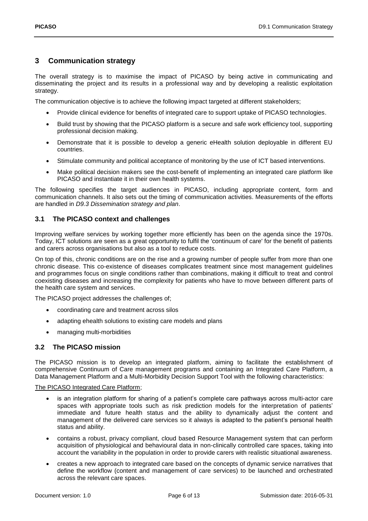### <span id="page-5-0"></span>**3 Communication strategy**

The overall strategy is to maximise the impact of PICASO by being active in communicating and disseminating the project and its results in a professional way and by developing a realistic exploitation strategy.

The communication objective is to achieve the following impact targeted at different stakeholders;

- Provide clinical evidence for benefits of integrated care to support uptake of PICASO technologies.
- Build trust by showing that the PICASO platform is a secure and safe work efficiency tool, supporting professional decision making.
- Demonstrate that it is possible to develop a generic eHealth solution deployable in different EU countries.
- Stimulate community and political acceptance of monitoring by the use of ICT based interventions.
- Make political decision makers see the cost-benefit of implementing an integrated care platform like PICASO and instantiate it in their own health systems.

The following specifies the target audiences in PICASO, including appropriate content, form and communication channels. It also sets out the timing of communication activities. Measurements of the efforts are handled in *D9.3 Dissemination strategy and plan*.

#### <span id="page-5-1"></span>**3.1 The PICASO context and challenges**

Improving welfare services by working together more efficiently has been on the agenda since the 1970s. Today, ICT solutions are seen as a great opportunity to fulfil the 'continuum of care' for the benefit of patients and carers across organisations but also as a tool to reduce costs.

On top of this, chronic conditions are on the rise and a growing number of people suffer from more than one chronic disease. This co-existence of diseases complicates treatment since most management guidelines and programmes focus on single conditions rather than combinations, making it difficult to treat and control coexisting diseases and increasing the complexity for patients who have to move between different parts of the health care system and services.

The PICASO project addresses the challenges of;

- coordinating care and treatment across silos
- adapting ehealth solutions to existing care models and plans
- managing multi-morbidities

#### <span id="page-5-2"></span>**3.2 The PICASO mission**

The PICASO mission is to develop an integrated platform, aiming to facilitate the establishment of comprehensive Continuum of Care management programs and containing an Integrated Care Platform, a Data Management Platform and a Multi-Morbidity Decision Support Tool with the following characteristics:

#### The PICASO Integrated Care Platform;

- is an integration platform for sharing of a patient's complete care pathways across multi-actor care spaces with appropriate tools such as risk prediction models for the interpretation of patients' immediate and future health status and the ability to dynamically adjust the content and management of the delivered care services so it always is adapted to the patient's personal health status and ability.
- contains a robust, privacy compliant, cloud based Resource Management system that can perform acquisition of physiological and behavioural data in non-clinically controlled care spaces, taking into account the variability in the population in order to provide carers with realistic situational awareness.
- creates a new approach to integrated care based on the concepts of dynamic service narratives that define the workflow (content and management of care services) to be launched and orchestrated across the relevant care spaces.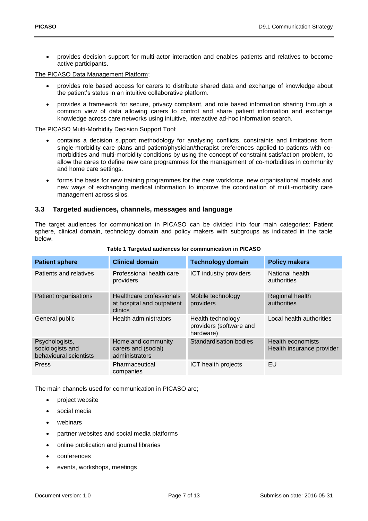provides decision support for multi-actor interaction and enables patients and relatives to become active participants.

The PICASO Data Management Platform;

- provides role based access for carers to distribute shared data and exchange of knowledge about the patient's status in an intuitive collaborative platform.
- provides a framework for secure, privacy compliant, and role based information sharing through a common view of data allowing carers to control and share patient information and exchange knowledge across care networks using intuitive, interactive ad-hoc information search.

The PICASO Multi-Morbidity Decision Support Tool;

- contains a decision support methodology for analysing conflicts, constraints and limitations from single-morbidity care plans and patient/physician/therapist preferences applied to patients with comorbidities and multi-morbidity conditions by using the concept of constraint satisfaction problem, to allow the cares to define new care programmes for the management of co-morbidities in community and home care settings.
- forms the basis for new training programmes for the care workforce, new organisational models and new ways of exchanging medical information to improve the coordination of multi-morbidity care management across silos.

#### <span id="page-6-0"></span>**3.3 Targeted audiences, channels, messages and language**

The target audiences for communication in PICASO can be divided into four main categories: Patient sphere, clinical domain, technology domain and policy makers with subgroups as indicated in the table below.

| <b>Patient sphere</b>                                        | <b>Clinical domain</b>                                            | <b>Technology domain</b>                                  | <b>Policy makers</b>                                  |
|--------------------------------------------------------------|-------------------------------------------------------------------|-----------------------------------------------------------|-------------------------------------------------------|
| Patients and relatives                                       | Professional health care<br>providers                             | ICT industry providers                                    | National health<br>authorities                        |
| Patient organisations                                        | Healthcare professionals<br>at hospital and outpatient<br>clinics | Mobile technology<br>providers                            | Regional health<br>authorities                        |
| General public                                               | Health administrators                                             | Health technology<br>providers (software and<br>hardware) | Local health authorities                              |
| Psychologists,<br>sociologists and<br>behavioural scientists | Home and community<br>carers and (social)<br>administrators       | Standardisation bodies                                    | <b>Health economists</b><br>Health insurance provider |
| Press                                                        | Pharmaceutical<br>companies                                       | ICT health projects                                       | EU                                                    |

#### **Table 1 Targeted audiences for communication in PICASO**

The main channels used for communication in PICASO are;

- project website
- social media
- webinars
- partner websites and social media platforms
- online publication and journal libraries
- conferences
- events, workshops, meetings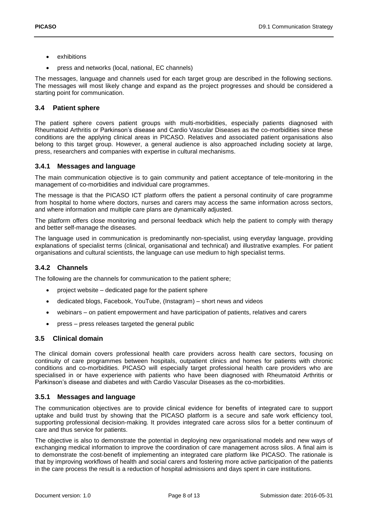- exhibitions
- press and networks (local, national, EC channels)

The messages, language and channels used for each target group are described in the following sections. The messages will most likely change and expand as the project progresses and should be considered a starting point for communication.

#### <span id="page-7-0"></span>**3.4 Patient sphere**

The patient sphere covers patient groups with multi-morbidities, especially patients diagnosed with Rheumatoid Arthritis or Parkinson's disease and Cardio Vascular Diseases as the co-morbidities since these conditions are the applying clinical areas in PICASO. Relatives and associated patient organisations also belong to this target group. However, a general audience is also approached including society at large, press, researchers and companies with expertise in cultural mechanisms.

#### <span id="page-7-1"></span>**3.4.1 Messages and language**

The main communication objective is to gain community and patient acceptance of tele-monitoring in the management of co-morbidities and individual care programmes.

The message is that the PICASO ICT platform offers the patient a personal continuity of care programme from hospital to home where doctors, nurses and carers may access the same information across sectors, and where information and multiple care plans are dynamically adjusted.

The platform offers close monitoring and personal feedback which help the patient to comply with therapy and better self-manage the diseases.

The language used in communication is predominantly non-specialist, using everyday language, providing explanations of specialist terms (clinical, organisational and technical) and illustrative examples. For patient organisations and cultural scientists, the language can use medium to high specialist terms.

#### <span id="page-7-2"></span>**3.4.2 Channels**

The following are the channels for communication to the patient sphere;

- project website dedicated page for the patient sphere
- dedicated blogs, Facebook, YouTube, (Instagram) short news and videos
- webinars on patient empowerment and have participation of patients, relatives and carers
- press press releases targeted the general public

#### <span id="page-7-3"></span>**3.5 Clinical domain**

The clinical domain covers professional health care providers across health care sectors, focusing on continuity of care programmes between hospitals, outpatient clinics and homes for patients with chronic conditions and co-morbidities. PICASO will especially target professional health care providers who are specialised in or have experience with patients who have been diagnosed with Rheumatoid Arthritis or Parkinson's disease and diabetes and with Cardio Vascular Diseases as the co-morbidities.

#### <span id="page-7-4"></span>**3.5.1 Messages and language**

The communication objectives are to provide clinical evidence for benefits of integrated care to support uptake and build trust by showing that the PICASO platform is a secure and safe work efficiency tool, supporting professional decision-making. It provides integrated care across silos for a better continuum of care and thus service for patients.

The objective is also to demonstrate the potential in deploying new organisational models and new ways of exchanging medical information to improve the coordination of care management across silos. A final aim is to demonstrate the cost-benefit of implementing an integrated care platform like PICASO. The rationale is that by improving workflows of health and social carers and fostering more active participation of the patients in the care process the result is a reduction of hospital admissions and days spent in care institutions.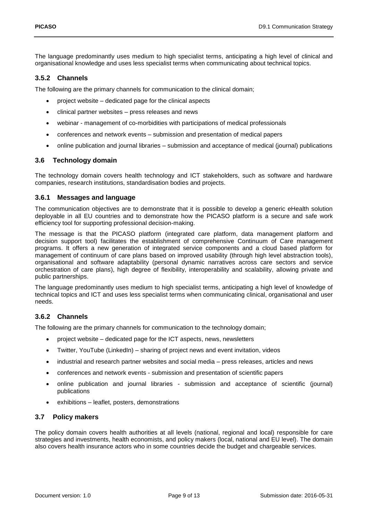The language predominantly uses medium to high specialist terms, anticipating a high level of clinical and organisational knowledge and uses less specialist terms when communicating about technical topics.

#### <span id="page-8-0"></span>**3.5.2 Channels**

The following are the primary channels for communication to the clinical domain;

- project website dedicated page for the clinical aspects
- clinical partner websites press releases and news
- webinar management of co-morbidities with participations of medical professionals
- conferences and network events submission and presentation of medical papers
- online publication and journal libraries submission and acceptance of medical (journal) publications

#### <span id="page-8-1"></span>**3.6 Technology domain**

The technology domain covers health technology and ICT stakeholders, such as software and hardware companies, research institutions, standardisation bodies and projects.

#### <span id="page-8-2"></span>**3.6.1 Messages and language**

The communication objectives are to demonstrate that it is possible to develop a generic eHealth solution deployable in all EU countries and to demonstrate how the PICASO platform is a secure and safe work efficiency tool for supporting professional decision-making.

The message is that the PICASO platform (integrated care platform, data management platform and decision support tool) facilitates the establishment of comprehensive Continuum of Care management programs. It offers a new generation of integrated service components and a cloud based platform for management of continuum of care plans based on improved usability (through high level abstraction tools), organisational and software adaptability (personal dynamic narratives across care sectors and service orchestration of care plans), high degree of flexibility, interoperability and scalability, allowing private and public partnerships.

The language predominantly uses medium to high specialist terms, anticipating a high level of knowledge of technical topics and ICT and uses less specialist terms when communicating clinical, organisational and user needs.

#### <span id="page-8-3"></span>**3.6.2 Channels**

The following are the primary channels for communication to the technology domain;

- project website dedicated page for the ICT aspects, news, newsletters
- Twitter, YouTube (LinkedIn) sharing of project news and event invitation, videos
- industrial and research partner websites and social media press releases, articles and news
- conferences and network events submission and presentation of scientific papers
- online publication and journal libraries submission and acceptance of scientific (journal) publications
- exhibitions leaflet, posters, demonstrations

#### <span id="page-8-4"></span>**3.7 Policy makers**

The policy domain covers health authorities at all levels (national, regional and local) responsible for care strategies and investments, health economists, and policy makers (local, national and EU level). The domain also covers health insurance actors who in some countries decide the budget and chargeable services.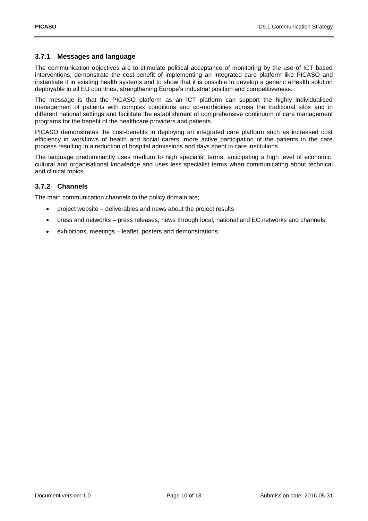#### <span id="page-9-0"></span>**3.7.1 Messages and language**

The communication objectives are to stimulate political acceptance of monitoring by the use of ICT based interventions; demonstrate the cost-benefit of implementing an integrated care platform like PICASO and instantiate it in existing health systems and to show that it is possible to develop a generic eHealth solution deployable in all EU countries, strengthening Europe's industrial position and competitiveness.

The message is that the PICASO platform as an ICT platform can support the highly individualised management of patients with complex conditions and co-morbidities across the traditional silos and in different national settings and facilitate the establishment of comprehensive continuum of care management programs for the benefit of the healthcare providers and patients.

PICASO demonstrates the cost-benefits in deploying an integrated care platform such as increased cost efficiency in workflows of health and social carers, more active participation of the patients in the care process resulting in a reduction of hospital admissions and days spent in care institutions.

The language predominantly uses medium to high specialist terms, anticipating a high level of economic, cultural and organisational knowledge and uses less specialist terms when communicating about technical and clinical topics.

#### <span id="page-9-1"></span>**3.7.2 Channels**

The main communication channels to the policy domain are;

- project website deliverables and news about the project results
- press and networks press releases, news through local, national and EC networks and channels
- exhibitions, meetings leaflet, posters and demonstrations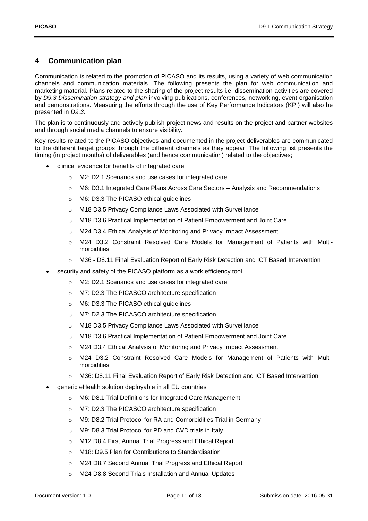## <span id="page-10-0"></span>**4 Communication plan**

Communication is related to the promotion of PICASO and its results, using a variety of web communication channels and communication materials. The following presents the plan for web communication and marketing material. Plans related to the sharing of the project results i.e. dissemination activities are covered by *D9.3 Dissemination strategy and plan* involving publications, conferences, networking, event organisation and demonstrations. Measuring the efforts through the use of Key Performance Indicators (KPI) will also be presented in *D9.3*.

The plan is to continuously and actively publish project news and results on the project and partner websites and through social media channels to ensure visibility.

Key results related to the PICASO objectives and documented in the project deliverables are communicated to the different target groups through the different channels as they appear. The following list presents the timing (in project months) of deliverables (and hence communication) related to the objectives;

- clinical evidence for benefits of integrated care
	- o M2: D2.1 Scenarios and use cases for integrated care
	- o M6: D3.1 Integrated Care Plans Across Care Sectors Analysis and Recommendations
	- o M6: D3.3 The PICASO ethical guidelines
	- o M18 D3.5 Privacy Compliance Laws Associated with Surveillance
	- o M18 D3.6 Practical Implementation of Patient Empowerment and Joint Care
	- o M24 D3.4 Ethical Analysis of Monitoring and Privacy Impact Assessment
	- o M24 D3.2 Constraint Resolved Care Models for Management of Patients with Multimorbidities
	- o M36 D8.11 Final Evaluation Report of Early Risk Detection and ICT Based Intervention
- security and safety of the PICASO platform as a work efficiency tool
	- o M2: D2.1 Scenarios and use cases for integrated care
	- o M7: D2.3 The PICASCO architecture specification
	- o M6: D3.3 The PICASO ethical guidelines
	- o M7: D2.3 The PICASCO architecture specification
	- o M18 D3.5 Privacy Compliance Laws Associated with Surveillance
	- o M18 D3.6 Practical Implementation of Patient Empowerment and Joint Care
	- o M24 D3.4 Ethical Analysis of Monitoring and Privacy Impact Assessment
	- o M24 D3.2 Constraint Resolved Care Models for Management of Patients with Multimorbidities
	- o M36: D8.11 Final Evaluation Report of Early Risk Detection and ICT Based Intervention
- generic eHealth solution deployable in all EU countries
	- o M6: D8.1 Trial Definitions for Integrated Care Management
	- o M7: D2.3 The PICASCO architecture specification
	- o M9: D8.2 Trial Protocol for RA and Comorbidities Trial in Germany
	- o M9: D8.3 Trial Protocol for PD and CVD trials in Italy
	- o M12 D8.4 First Annual Trial Progress and Ethical Report
	- o M18: D9.5 Plan for Contributions to Standardisation
	- o M24 D8.7 Second Annual Trial Progress and Ethical Report
	- o M24 D8.8 Second Trials Installation and Annual Updates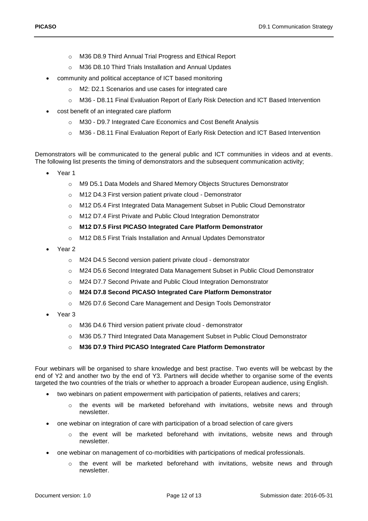- o M36 D8.9 Third Annual Trial Progress and Ethical Report
- o M36 D8.10 Third Trials Installation and Annual Updates
- community and political acceptance of ICT based monitoring
	- o M2: D2.1 Scenarios and use cases for integrated care
	- o M36 D8.11 Final Evaluation Report of Early Risk Detection and ICT Based Intervention
- cost benefit of an integrated care platform
	- o M30 D9.7 Integrated Care Economics and Cost Benefit Analysis
	- o M36 D8.11 Final Evaluation Report of Early Risk Detection and ICT Based Intervention

Demonstrators will be communicated to the general public and ICT communities in videos and at events. The following list presents the timing of demonstrators and the subsequent communication activity;

- Year 1
	- o M9 D5.1 Data Models and Shared Memory Objects Structures Demonstrator
	- o M12 D4.3 First version patient private cloud Demonstrator
	- o M12 D5.4 First Integrated Data Management Subset in Public Cloud Demonstrator
	- o M12 D7.4 First Private and Public Cloud Integration Demonstrator
	- o **M12 D7.5 First PICASO Integrated Care Platform Demonstrator**
	- o M12 D8.5 First Trials Installation and Annual Updates Demonstrator
- Year 2
	- o M24 D4.5 Second version patient private cloud demonstrator
	- o M24 D5.6 Second Integrated Data Management Subset in Public Cloud Demonstrator
	- o M24 D7.7 Second Private and Public Cloud Integration Demonstrator
	- o **M24 D7.8 Second PICASO Integrated Care Platform Demonstrator**
	- o M26 D7.6 Second Care Management and Design Tools Demonstrator
- Year 3
	- o M36 D4.6 Third version patient private cloud demonstrator
	- o M36 D5.7 Third Integrated Data Management Subset in Public Cloud Demonstrator
	- o **M36 D7.9 Third PICASO Integrated Care Platform Demonstrator**

Four webinars will be organised to share knowledge and best practise. Two events will be webcast by the end of Y2 and another two by the end of Y3. Partners will decide whether to organise some of the events targeted the two countries of the trials or whether to approach a broader European audience, using English.

- two webinars on patient empowerment with participation of patients, relatives and carers;
	- o the events will be marketed beforehand with invitations, website news and through newsletter.
- one webinar on integration of care with participation of a broad selection of care givers
	- $\circ$  the event will be marketed beforehand with invitations, website news and through newsletter.
- one webinar on management of co-morbidities with participations of medical professionals.
	- $\circ$  the event will be marketed beforehand with invitations, website news and through newsletter.